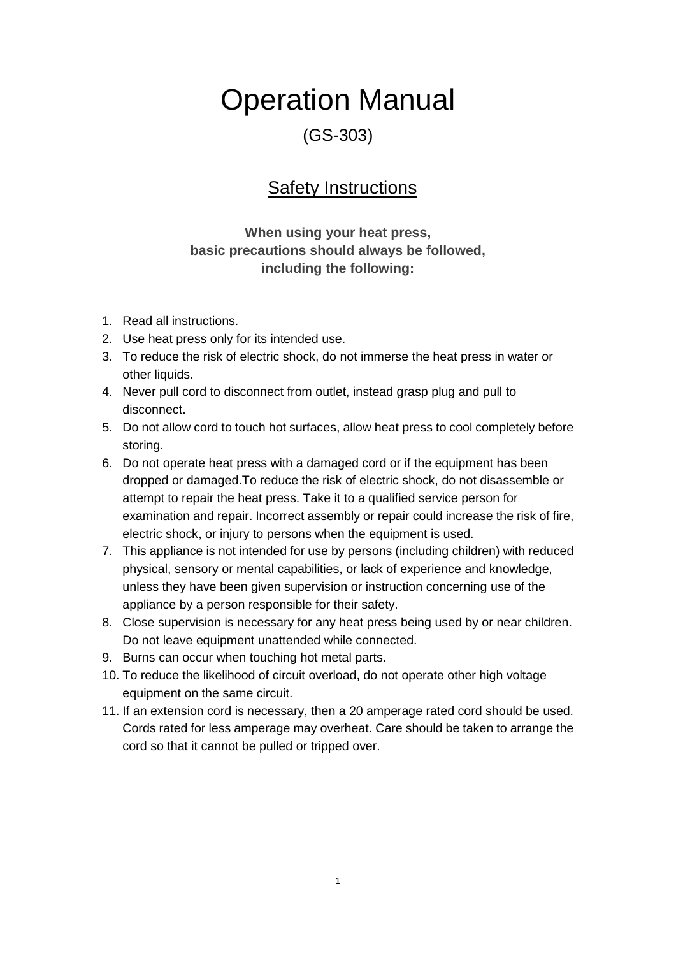# Operation Manual

#### (GS-303)

#### Safety Instructions

**When using your heat press, basic precautions should always be followed, including the following:**

- 1. Read all instructions.
- 2. Use heat press only for its intended use.
- 3. To reduce the risk of electric shock, do not immerse the heat press in water or other liquids.
- 4. Never pull cord to disconnect from outlet, instead grasp plug and pull to disconnect.
- 5. Do not allow cord to touch hot surfaces, allow heat press to cool completely before storing.
- 6. Do not operate heat press with a damaged cord or if the equipment has been dropped or damaged.To reduce the risk of electric shock, do not disassemble or attempt to repair the heat press. Take it to a qualified service person for examination and repair. Incorrect assembly or repair could increase the risk of fire, electric shock, or injury to persons when the equipment is used.
- 7. This appliance is not intended for use by persons (including children) with reduced physical, sensory or mental capabilities, or lack of experience and knowledge, unless they have been given supervision or instruction concerning use of the appliance by a person responsible for their safety.
- 8. Close supervision is necessary for any heat press being used by or near children. Do not leave equipment unattended while connected.
- 9. Burns can occur when touching hot metal parts.
- 10. To reduce the likelihood of circuit overload, do not operate other high voltage equipment on the same circuit.
- 11. If an extension cord is necessary, then a 20 amperage rated cord should be used. Cords rated for less amperage may overheat. Care should be taken to arrange the cord so that it cannot be pulled or tripped over.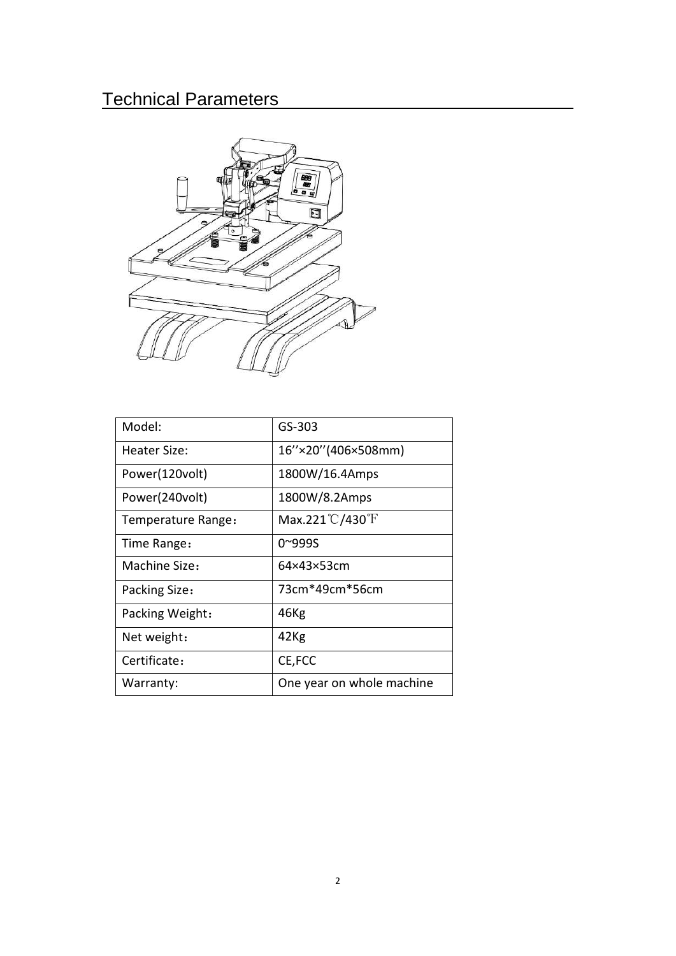## Technical Parameters



| Model:             | GS-303                              |
|--------------------|-------------------------------------|
| Heater Size:       | 16"×20" (406×508mm)                 |
| Power(120volt)     | 1800W/16.4Amps                      |
| Power(240volt)     | 1800W/8.2Amps                       |
| Temperature Range: | Max.221 $\degree$ C/430 $\degree$ F |
| Time Range:        | 0~999S                              |
| Machine Size:      | 64×43×53cm                          |
| Packing Size:      | 73cm*49cm*56cm                      |
| Packing Weight:    | 46Kg                                |
| Net weight:        | 42Kg                                |
| Certificate:       | CE, FCC                             |
| Warranty:          | One year on whole machine           |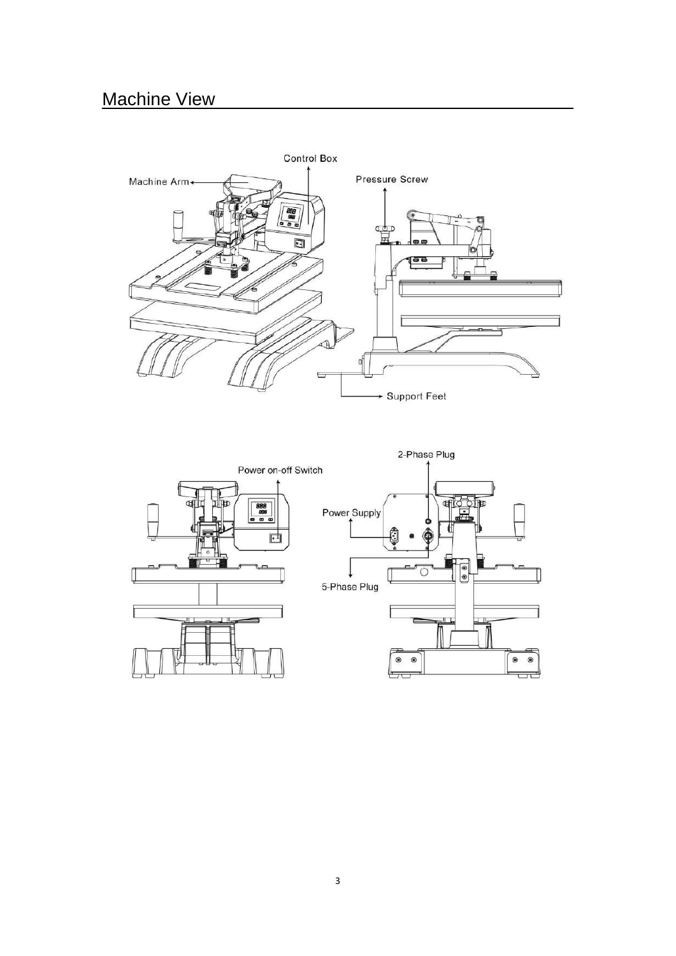### **Machine View**



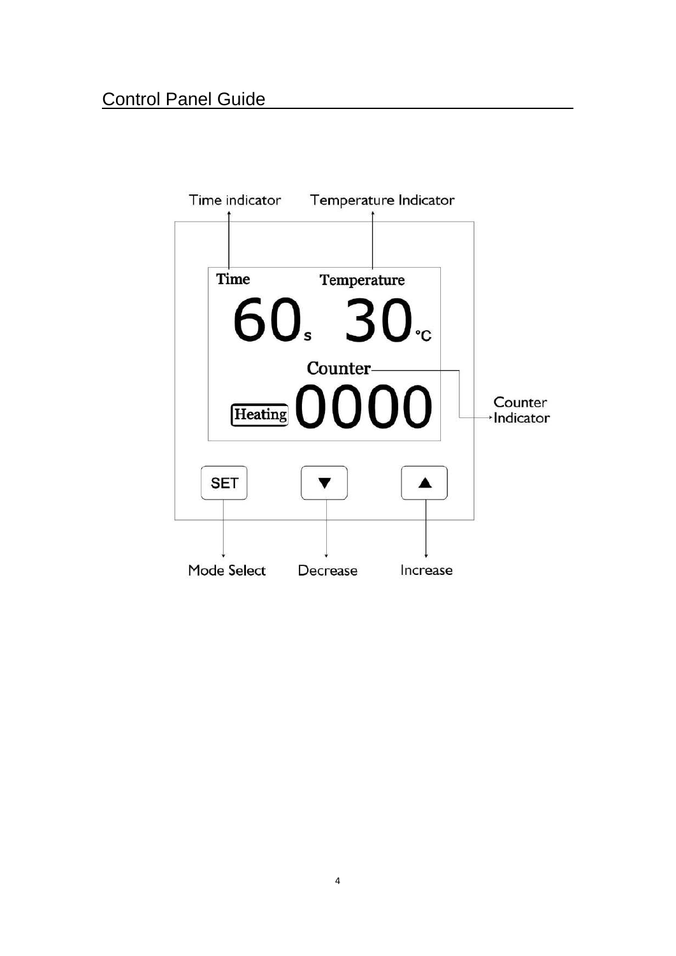#### Control Panel Guide

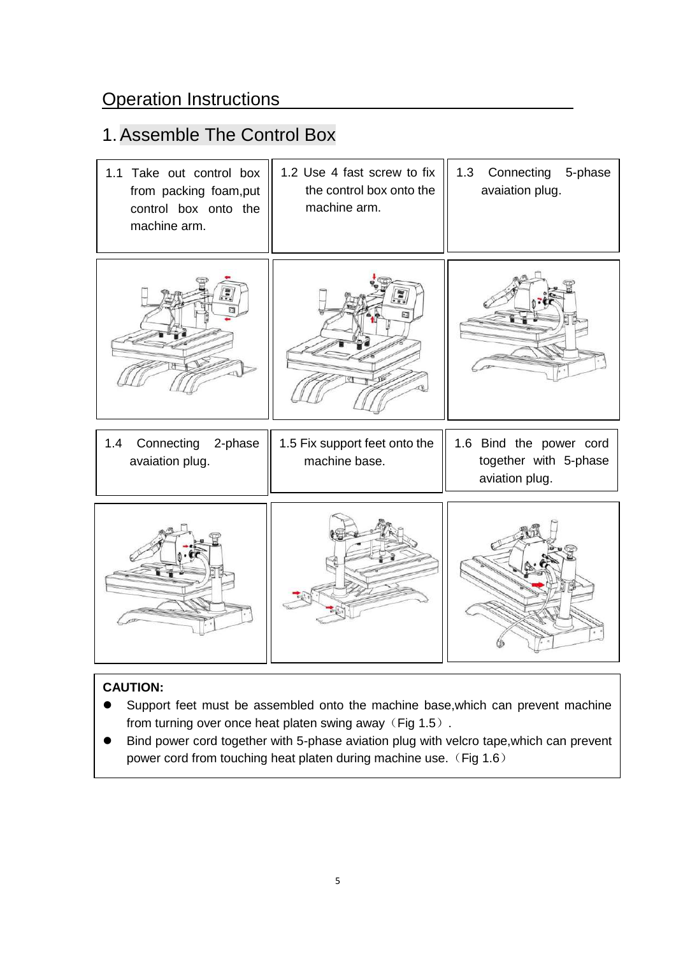#### **Operation Instructions**

### 1.Assemble The Control Box

| 1.1 Take out control box<br>from packing foam, put<br>control box onto the<br>machine arm. | 1.2 Use 4 fast screw to fix<br>the control box onto the<br>machine arm. | Connecting 5-phase<br>1.3<br>avaiation plug.                       |
|--------------------------------------------------------------------------------------------|-------------------------------------------------------------------------|--------------------------------------------------------------------|
|                                                                                            |                                                                         |                                                                    |
| 1.4<br>Connecting<br>2-phase<br>avaiation plug.                                            | 1.5 Fix support feet onto the<br>machine base.                          | 1.6 Bind the power cord<br>together with 5-phase<br>aviation plug. |
|                                                                                            |                                                                         |                                                                    |

#### **CAUTION:**

- Support feet must be assembled onto the machine base,which can prevent machine from turning over once heat platen swing away (Fig 1.5).
- Bind power cord together with 5-phase aviation plug with velcro tape,which can prevent power cord from touching heat platen during machine use. (Fig 1.6)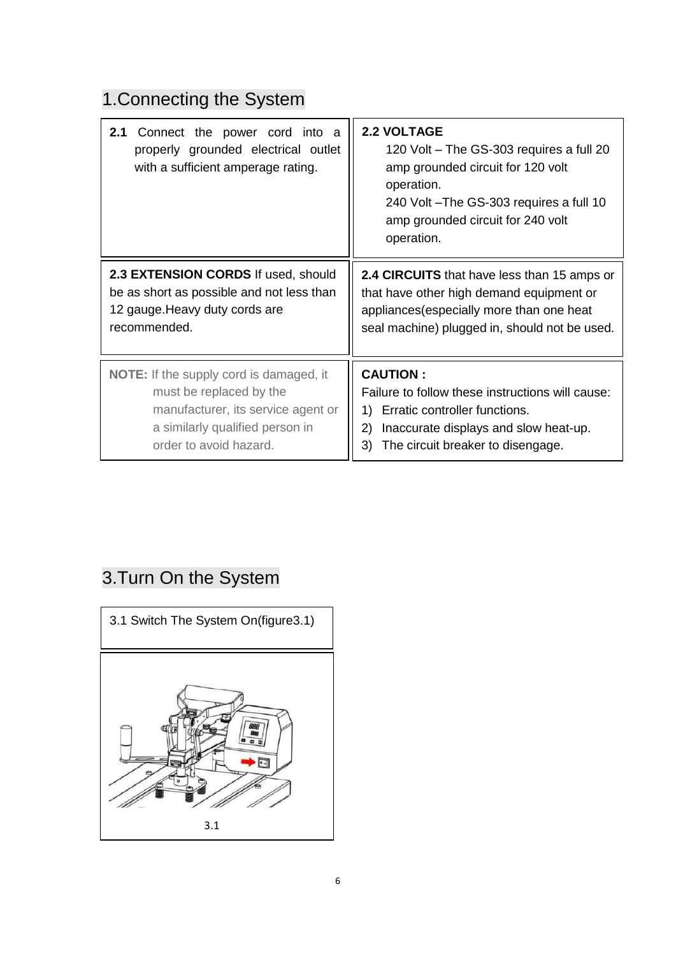## 1.Connecting the System

| 2.1<br>Connect the power cord into a<br>properly grounded electrical outlet<br>with a sufficient amperage rating.                                                            | <b>2.2 VOLTAGE</b><br>120 Volt - The GS-303 requires a full 20<br>amp grounded circuit for 120 volt<br>operation.<br>240 Volt - The GS-303 requires a full 10<br>amp grounded circuit for 240 volt<br>operation. |
|------------------------------------------------------------------------------------------------------------------------------------------------------------------------------|------------------------------------------------------------------------------------------------------------------------------------------------------------------------------------------------------------------|
| 2.3 EXTENSION CORDS If used, should<br>be as short as possible and not less than<br>12 gauge. Heavy duty cords are<br>recommended.                                           | 2.4 CIRCUITS that have less than 15 amps or<br>that have other high demand equipment or<br>appliances (especially more than one heat<br>seal machine) plugged in, should not be used.                            |
| <b>NOTE:</b> If the supply cord is damaged, it<br>must be replaced by the<br>manufacturer, its service agent or<br>a similarly qualified person in<br>order to avoid hazard. | <b>CAUTION:</b><br>Failure to follow these instructions will cause:<br>Erratic controller functions.<br>1)<br>Inaccurate displays and slow heat-up.<br>2)<br>The circuit breaker to disengage.<br>3)             |

### 3.Turn On the System

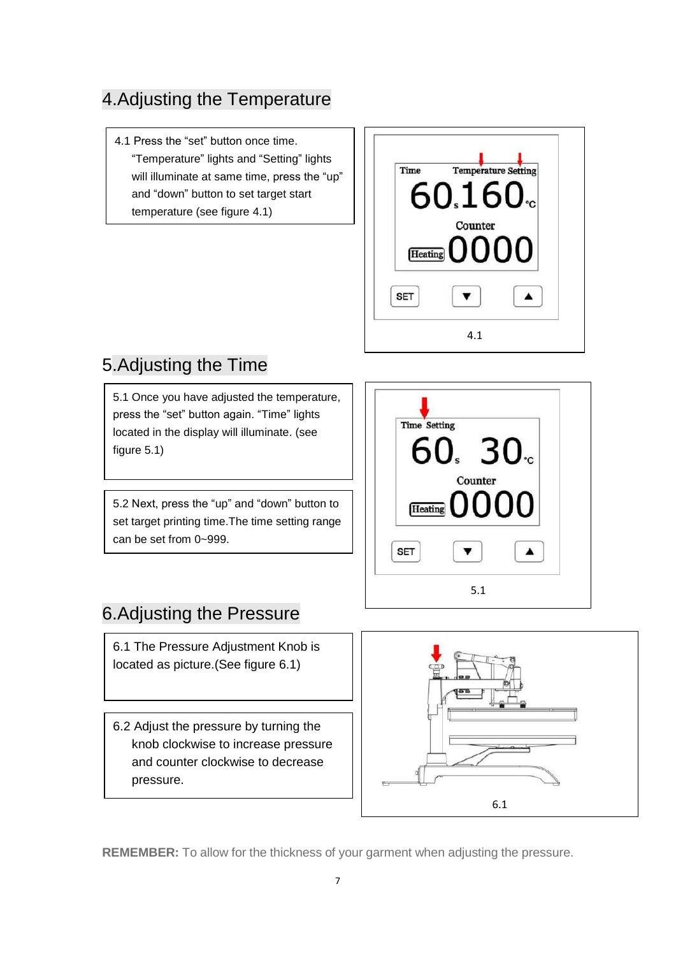#### 4.Adjusting the Temperature

4.1 Press the "set" button once time. "Temperature" lights and "Setting" lights will illuminate at same time, press the "up" and "down" button to set target start temperature (see figure 4.1)



#### 5.Adjusting the Time

5.1 Once you have adjusted the temperature, press the "set" button again. "Time" lights located in the display will illuminate. (see figure 5.1)

5.2 Next, press the "up" and "down" button to set target printing time.The time setting range can be set from 0~999.



#### 6.Adjusting the Pressure

6.1 The Pressure Adjustment Knob is located as picture.(See figure 6.1)

6.2 Adjust the pressure by turning the knob clockwise to increase pressure and counter clockwise to decrease pressure.



**REMEMBER:** To allow for the thickness of your garment when adjusting the pressure.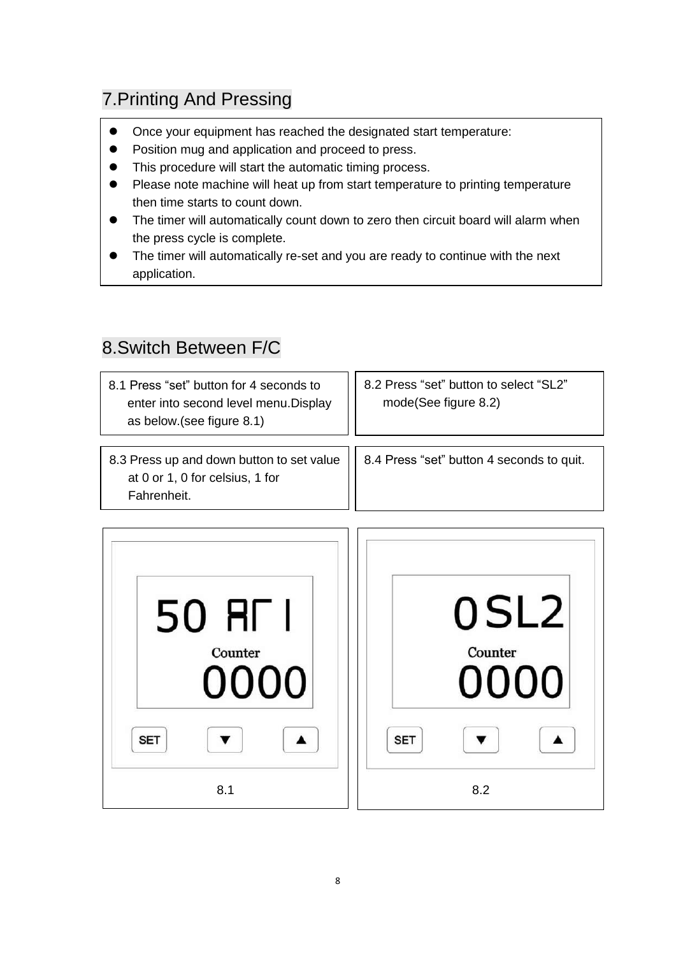### 7.Printing And Pressing

- Once your equipment has reached the designated start temperature:
- Position mug and application and proceed to press.
- This procedure will start the automatic timing process.
- Please note machine will heat up from start temperature to printing temperature then time starts to count down.
- The timer will automatically count down to zero then circuit board will alarm when the press cycle is complete.
- The timer will automatically re-set and you are ready to continue with the next application.

#### 8.Switch Between F/C

j

| 8.1 Press "set" button for 4 seconds to<br>enter into second level menu. Display<br>as below.(see figure 8.1) | 8.2 Press "set" button to select "SL2"<br>mode(See figure 8.2) |  |
|---------------------------------------------------------------------------------------------------------------|----------------------------------------------------------------|--|
| 8.3 Press up and down button to set value<br>at 0 or 1, 0 for celsius, 1 for<br>Fahrenheit.                   | 8.4 Press "set" button 4 seconds to quit.                      |  |

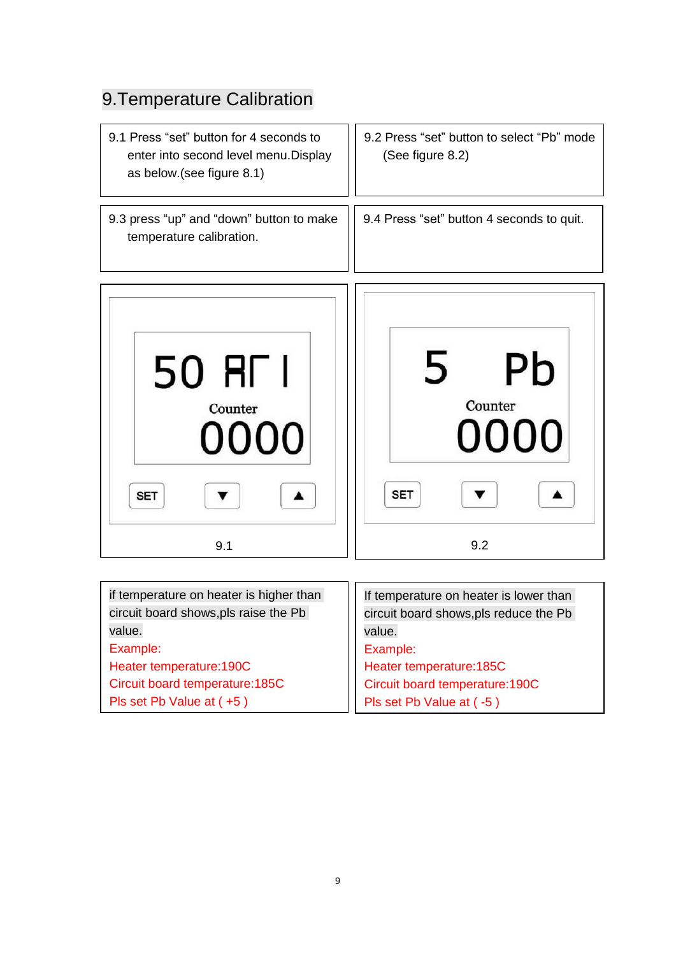## 9.Temperature Calibration

| 9.1 Press "set" button for 4 seconds to<br>enter into second level menu. Display<br>as below.(see figure 8.1) | 9.2 Press "set" button to select "Pb" mode<br>(See figure 8.2) |
|---------------------------------------------------------------------------------------------------------------|----------------------------------------------------------------|
| 9.3 press "up" and "down" button to make<br>temperature calibration.                                          | 9.4 Press "set" button 4 seconds to quit.                      |
| 50 RF I<br>Counter<br>0000<br><b>SET</b><br>9.1                                                               | Pb<br>5<br>Counter<br>0000<br><b>SET</b><br>9.2                |

| if temperature on heater is higher than | If temperature on heater is lower than |
|-----------------------------------------|----------------------------------------|
| circuit board shows, pls raise the Pb   | circuit board shows, pls reduce the Pb |
| value.                                  | value.                                 |
| Example:                                | Example:                               |
| Heater temperature: 190C                | Heater temperature: 185C               |
| Circuit board temperature: 185C         | Circuit board temperature: 190C        |
| Pls set Pb Value at $(+5)$              | Pls set Pb Value at (-5)               |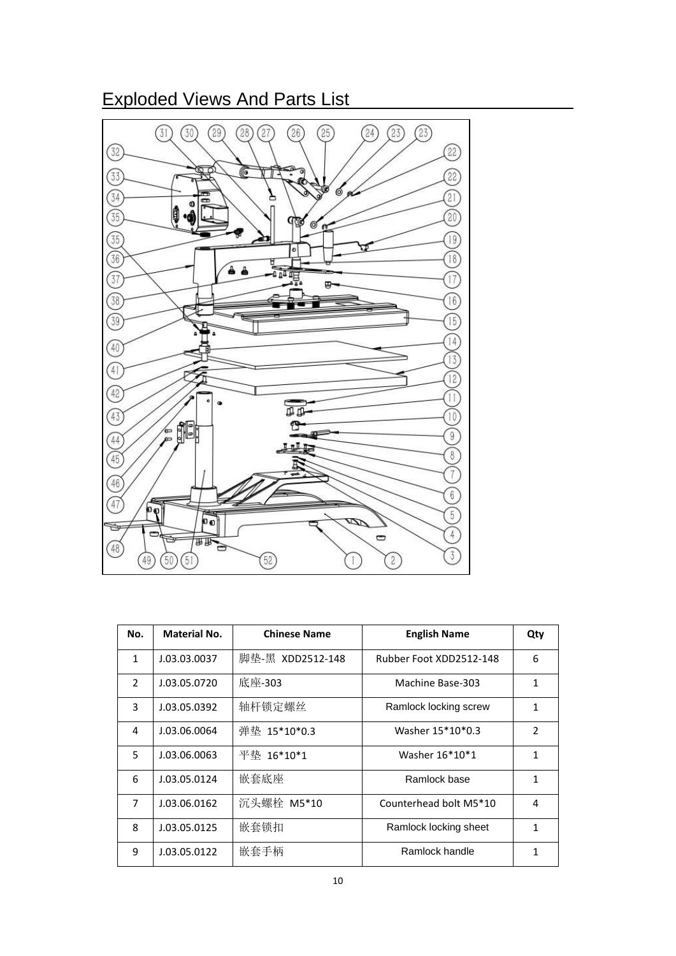#### Exploded Views And Parts List



| No.            | <b>Material No.</b> | <b>Chinese Name</b> | <b>English Name</b>     | Qty            |
|----------------|---------------------|---------------------|-------------------------|----------------|
| $\mathbf{1}$   | J.03.03.0037        | 脚垫-黑 XDD2512-148    | Rubber Foot XDD2512-148 | 6              |
| $\mathcal{P}$  | J.03.05.0720        | 底座-303              | Machine Base-303        | 1              |
| 3              | J.03.05.0392        | 轴杆锁定螺丝              | Ramlock locking screw   | 1              |
| 4              | J.03.06.0064        | 弹垫 15*10*0.3        | Washer 15*10*0.3        | $\mathfrak{p}$ |
| 5              | J.03.06.0063        | 平垫 16*10*1          | Washer 16*10*1          | 1              |
| 6              | J.03.05.0124        | 嵌套底座                | Ramlock base            | 1              |
| $\overline{7}$ | J.03.06.0162        | 沉头螺栓 M5*10          | Counterhead bolt M5*10  | 4              |
| 8              | J.03.05.0125        | 嵌套锁扣                | Ramlock locking sheet   | 1              |
| 9              | J.03.05.0122        | 嵌套手柄                | Ramlock handle          | 1              |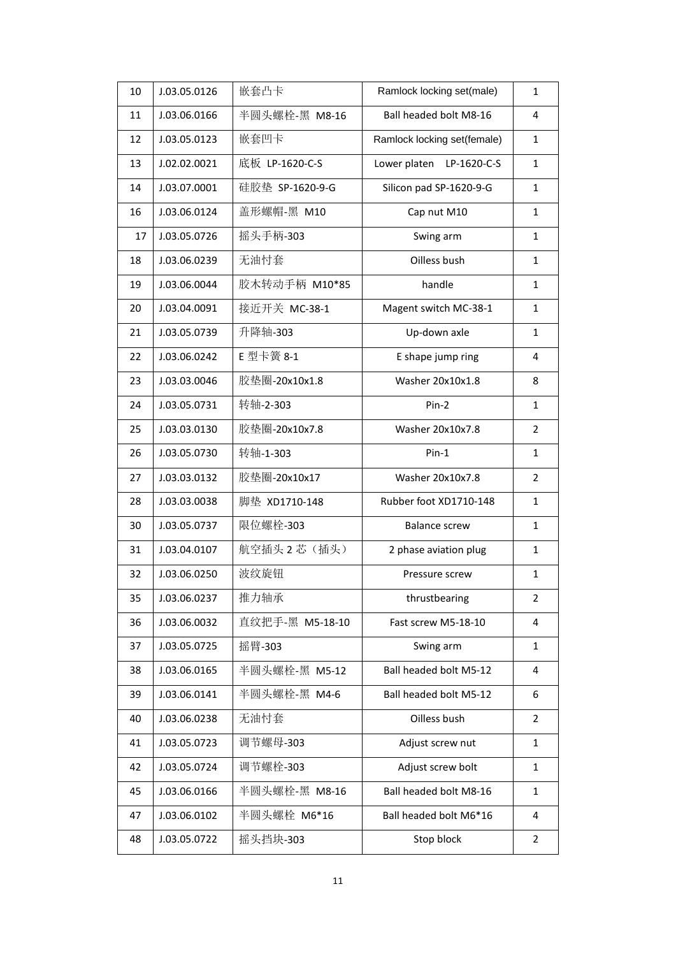| 10 | J.03.05.0126 | 嵌套凸卡            | Ramlock locking set(male)   | $\mathbf{1}$   |
|----|--------------|-----------------|-----------------------------|----------------|
| 11 | J.03.06.0166 | 半圆头螺栓-黑 M8-16   | Ball headed bolt M8-16      | 4              |
| 12 | J.03.05.0123 | 嵌套凹卡            | Ramlock locking set(female) | $\mathbf{1}$   |
| 13 | J.02.02.0021 | 底板 LP-1620-C-S  | Lower platen<br>LP-1620-C-S | $\mathbf{1}$   |
| 14 | J.03.07.0001 | 硅胶垫 SP-1620-9-G | Silicon pad SP-1620-9-G     | $\mathbf{1}$   |
| 16 | J.03.06.0124 | 盖形螺帽-黑 M10      | Cap nut M10                 | $\mathbf{1}$   |
| 17 | J.03.05.0726 | 摇头手柄-303        | Swing arm                   | $\mathbf{1}$   |
| 18 | J.03.06.0239 | 无油忖套            | Oilless bush                | 1              |
| 19 | J.03.06.0044 | 胶木转动手柄 M10*85   | handle                      | $\mathbf{1}$   |
| 20 | J.03.04.0091 | 接近开关 MC-38-1    | Magent switch MC-38-1       | $\mathbf{1}$   |
| 21 | J.03.05.0739 | 升降轴-303         | Up-down axle                | $\mathbf{1}$   |
| 22 | J.03.06.0242 | E 型卡簧 8-1       | E shape jump ring           | 4              |
| 23 | J.03.03.0046 | 胶垫圈-20x10x1.8   | Washer 20x10x1.8            | 8              |
| 24 | J.03.05.0731 | 转轴-2-303        | Pin-2                       | $\mathbf{1}$   |
| 25 | J.03.03.0130 | 胶垫圈-20x10x7.8   | Washer 20x10x7.8            | $\overline{2}$ |
| 26 | J.03.05.0730 | 转轴-1-303        | $Pin-1$                     | $\mathbf{1}$   |
| 27 | J.03.03.0132 | 胶垫圈-20x10x17    | Washer 20x10x7.8            | $\overline{2}$ |
| 28 | J.03.03.0038 | 脚垫 XD1710-148   | Rubber foot XD1710-148      | $\mathbf{1}$   |
| 30 | J.03.05.0737 | 限位螺栓-303        | <b>Balance screw</b>        | $\mathbf{1}$   |
| 31 | J.03.04.0107 | 航空插头 2 芯 (插头)   | 2 phase aviation plug       | $\mathbf{1}$   |
| 32 | J.03.06.0250 | 波纹旋钮            | Pressure screw              | $\mathbf{1}$   |
| 35 | J.03.06.0237 | 推力轴承            | thrustbearing               | 2              |
| 36 | J.03.06.0032 | 直纹把手-黑 M5-18-10 | Fast screw M5-18-10         | 4              |
| 37 | J.03.05.0725 | 摇臂-303          | Swing arm                   | $\mathbf{1}$   |
| 38 | J.03.06.0165 | 半圆头螺栓-黑 M5-12   | Ball headed bolt M5-12      | 4              |
| 39 | J.03.06.0141 | 半圆头螺栓-黑 M4-6    | Ball headed bolt M5-12      | 6              |
| 40 | J.03.06.0238 | 无油忖套            | Oilless bush                | $\overline{2}$ |
| 41 | J.03.05.0723 | 调节螺母-303        | Adjust screw nut            | 1              |
| 42 | J.03.05.0724 | 调节螺栓-303        | Adjust screw bolt           | $\mathbf{1}$   |
| 45 | J.03.06.0166 | 半圆头螺栓-黑 M8-16   | Ball headed bolt M8-16      | 1              |
| 47 | J.03.06.0102 | 半圆头螺栓 M6*16     | Ball headed bolt M6*16      | 4              |
| 48 | J.03.05.0722 | 摇头挡块-303        | Stop block                  | 2              |
|    |              |                 |                             |                |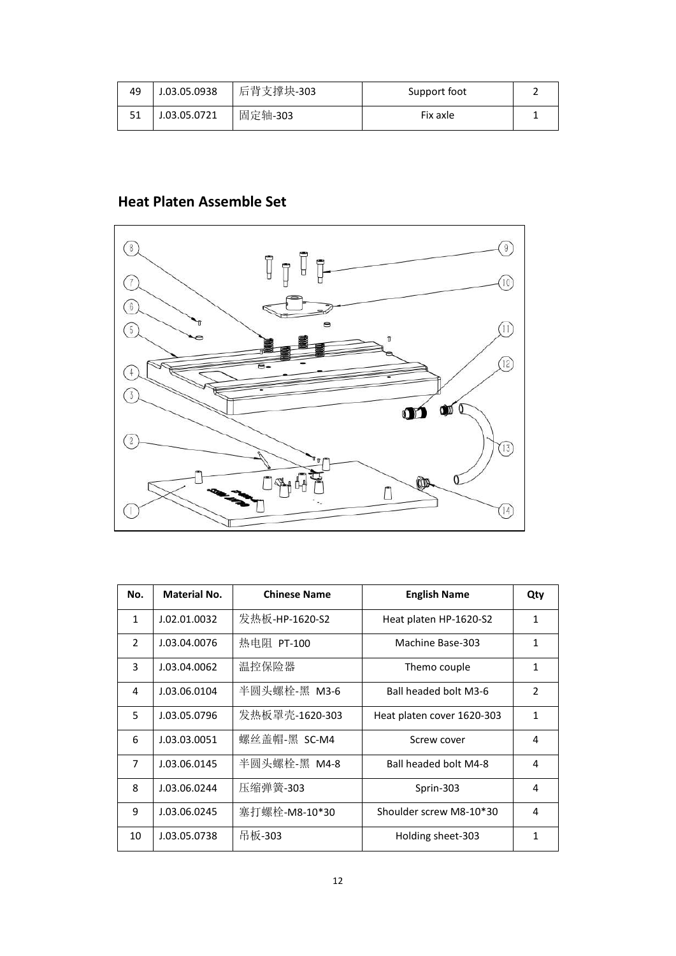| 49 | J.03.05.0938 | 后背支撑块-303 | Support foot |  |
|----|--------------|-----------|--------------|--|
|    | J.03.05.0721 | 固定轴-303   | Fix axle     |  |

#### **Heat Platen Assemble Set**



| No.            | <b>Material No.</b> | <b>Chinese Name</b> | <b>English Name</b>        | Qty            |
|----------------|---------------------|---------------------|----------------------------|----------------|
| $\mathbf{1}$   | J.02.01.0032        | 发热板-HP-1620-S2      | Heat platen HP-1620-S2     | 1              |
| $\mathcal{P}$  | J.03.04.0076        | 热电阻 PT-100          | Machine Base-303           | 1              |
| 3              | J.03.04.0062        | 温控保险器               | Themo couple               | 1              |
| 4              | J.03.06.0104        | 半圆头螺栓-黑 M3-6        | Ball headed bolt M3-6      | $\overline{2}$ |
| 5              | J.03.05.0796        | 发热板罩壳-1620-303      | Heat platen cover 1620-303 | 1              |
| 6              | J.03.03.0051        | 螺丝盖帽-黑 SC-M4        | Screw cover                | 4              |
| $\overline{7}$ | J.03.06.0145        | 半圆头螺栓-黑 M4-8        | Ball headed bolt M4-8      | 4              |
| 8              | J.03.06.0244        | 压缩弹簧-303            | Sprin-303                  | 4              |
| 9              | J.03.06.0245        | 塞打螺栓-M8-10*30       | Shoulder screw M8-10*30    | 4              |
| 10             | J.03.05.0738        | 吊板-303              | Holding sheet-303          | 1              |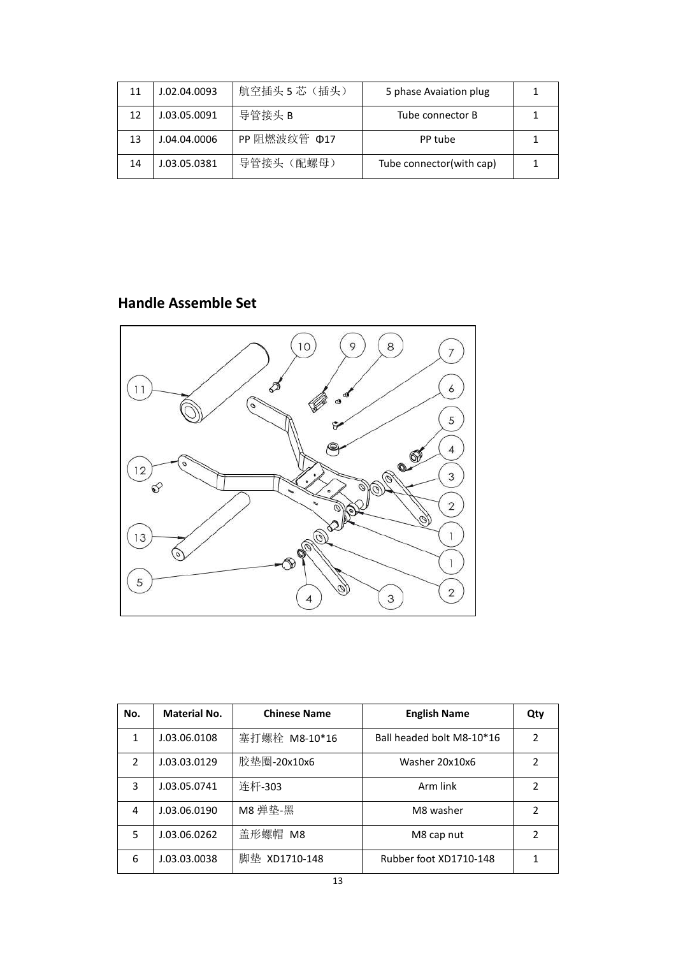| 11 | J.02.04.0093 | 航空插头 5 芯 (插头) | 5 phase Avaiation plug   |  |
|----|--------------|---------------|--------------------------|--|
| 12 | J.03.05.0091 | 导管接头 B        | Tube connector B         |  |
| 13 | J.04.04.0006 | PP 阻燃波纹管 Φ17  | PP tube                  |  |
| 14 | J.03.05.0381 | 导管接头 (配螺母)    | Tube connector(with cap) |  |

#### **Handle Assemble Set**



| No.            | <b>Material No.</b> | <b>Chinese Name</b> | <b>English Name</b>       | Qty |
|----------------|---------------------|---------------------|---------------------------|-----|
| 1              | J.03.06.0108        | 塞打螺栓 M8-10*16       | Ball headed bolt M8-10*16 | 2   |
| $\mathfrak{p}$ | J.03.03.0129        | 胶垫圈-20x10x6         | Washer 20x10x6            | 2   |
| 3              | J.03.05.0741        | 连杆-303              | Arm link                  | 2   |
| 4              | J.03.06.0190        | M8 弹垫-黑             | M8 washer                 | 2   |
| 5              | J.03.06.0262        | 盖形螺帽 M8             | M8 cap nut                | 2   |
| 6              | J.03.03.0038        | 脚垫 XD1710-148       | Rubber foot XD1710-148    |     |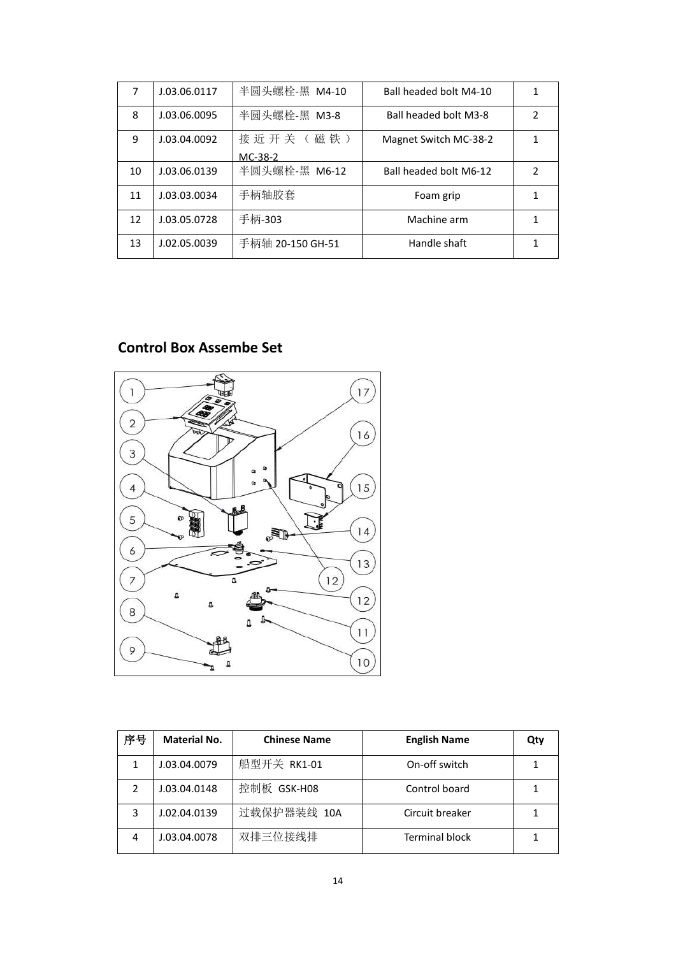| 7  | J.03.06.0117 | 半圆头螺栓-黑 M4-10    | Ball headed bolt M4-10 |   |
|----|--------------|------------------|------------------------|---|
| 8  | J.03.06.0095 | 半圆头螺栓-黑 M3-8     | Ball headed bolt M3-8  | 2 |
| 9  | J.03.04.0092 | 接近开关(磁铁)         | Magnet Switch MC-38-2  |   |
|    |              | MC-38-2          |                        |   |
| 10 | J.03.06.0139 | 半圆头螺栓-黑 M6-12    | Ball headed bolt M6-12 | 2 |
| 11 | J.03.03.0034 | 手柄轴胶套            | Foam grip              |   |
| 12 | J.03.05.0728 | 手柄-303           | Machine arm            |   |
| 13 | J.02.05.0039 | 手柄轴 20-150 GH-51 | Handle shaft           |   |

#### **Control Box Assembe Set**



| 序号 | <b>Material No.</b> | <b>Chinese Name</b> | <b>English Name</b>   | Qty |
|----|---------------------|---------------------|-----------------------|-----|
|    | J.03.04.0079        | 船型开关 RK1-01         | On-off switch         |     |
| 2  | J.03.04.0148        | 控制板 GSK-H08         | Control board         |     |
| 3  | J.02.04.0139        | 过载保护器装线 10A         | Circuit breaker       |     |
| 4  | J.03.04.0078        | 双排三位接线排             | <b>Terminal block</b> |     |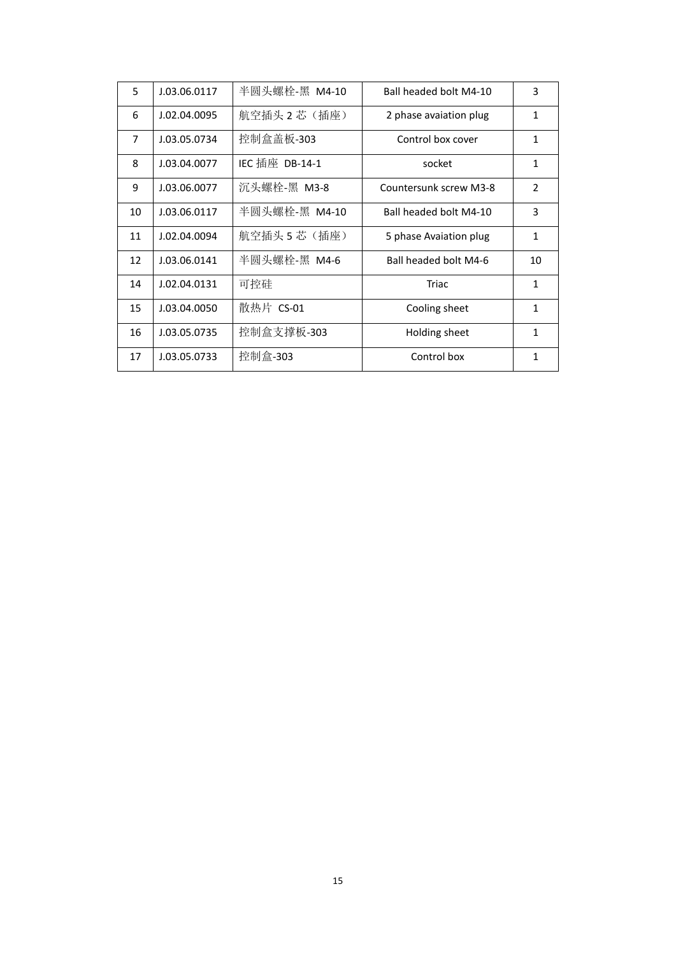| 5              | J.03.06.0117 | 半圆头螺栓-黑 M4-10  | Ball headed bolt M4-10 | 3             |
|----------------|--------------|----------------|------------------------|---------------|
| 6              | J.02.04.0095 | 航空插头 2 芯 (插座)  | 2 phase avaiation plug | 1             |
| $\overline{7}$ | J.03.05.0734 | 控制盒盖板-303      | Control box cover      | 1             |
| 8              | J.03.04.0077 | IEC 插座 DB-14-1 | socket                 | $\mathbf{1}$  |
| 9              | J.03.06.0077 | 沉头螺栓-黑 M3-8    | Countersunk screw M3-8 | $\mathcal{P}$ |
| 10             | J.03.06.0117 | 半圆头螺栓-黑 M4-10  | Ball headed bolt M4-10 | 3             |
| 11             | J.02.04.0094 | 航空插头 5 芯(插座)   | 5 phase Avaiation plug | $\mathbf{1}$  |
| 12             | J.03.06.0141 | 半圆头螺栓-黑 M4-6   | Ball headed bolt M4-6  | 10            |
| 14             | J.02.04.0131 | 可控硅            | Triac                  | $\mathbf{1}$  |
| 15             | J.03.04.0050 | 散热片 CS-01      | Cooling sheet          | 1             |
| 16             | J.03.05.0735 | 控制盒支撑板-303     | Holding sheet          | 1             |
| 17             | J.03.05.0733 | 控制盒-303        | Control box            | 1             |